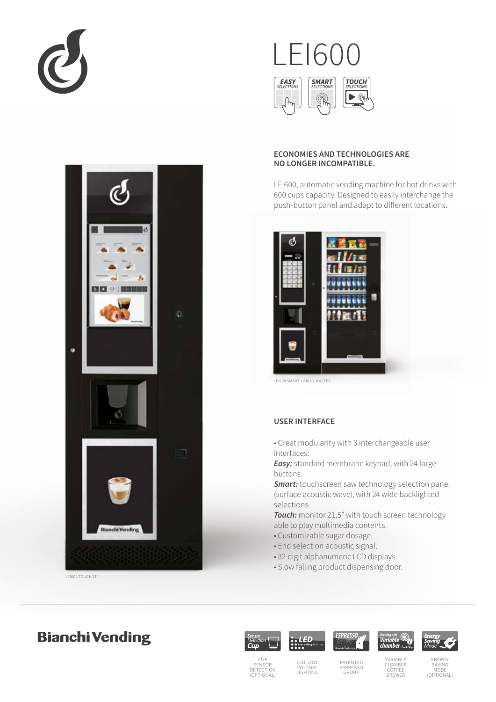



LEI600 TOUCH 21"

# $FI60$ **EASY**<br>SFLECTIONS **SMART TOUCH**  $\blacktriangleright$  $\mathbb Q$  $\mathbb{R}$

# **ECONOMIES AND TECHNOLOGIES ARE NO LONGER INCOMPATIBLE.**

LEI600, automatic vending machine for hot drinks with 600 cups capacity. Designed to easily interchange the push-button panel and adapt to different locations.



LEI600 SMART + ARIA L MASTER

#### **USER INTERFACE**

■ Great modularity with 3 interchangeable user interfaces:

*Easy:* standard membrane keypad, with 24 large buttons.

*Smart:* touchscreen saw technology selection panel (surface acoustic wave), with 24 wide backlighted selections.

*Touch:* monitor 21,5" with touch screen technology able to play multimedia contents.

- Customizable sugar dosage.
- End selection acoustic signal.
- 32 digit alphanumeric LCD displays.
- Slow falling product dispensing door.

# **Bianchi Vending**





LED, LOW VOLTAGE LIGHTING







CUP<br>SENSOR<br>DETECTION<br>(OPTIONAL)

PATENTED ESPRESSO GROUP

VARIABLE CHAMBER COFFEE BREWER

ENERGY SAVING MODE (OPTIONAL)